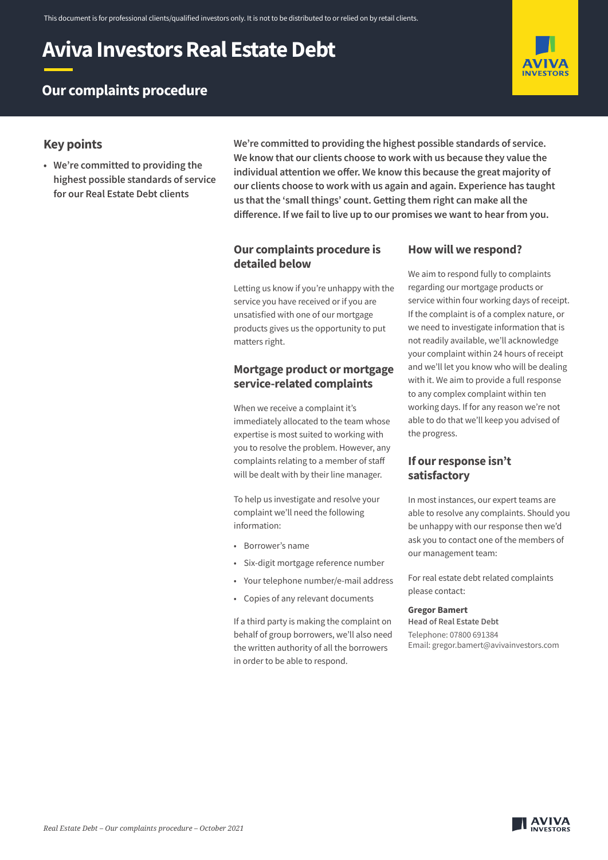# **Aviva Investors Real Estate Debt**



## **Our complaints procedure**

## **Key points**

**• We're committed to providing the highest possible standards of service for our Real Estate Debt clients**

**We're committed to providing the highest possible standards of service. We know that our clients choose to work with us because they value the individual attention we offer. We know this because the great majority of our clients choose to work with us again and again. Experience has taught us that the 'small things' count. Getting them right can make all the difference. If we fail to live up to our promises we want to hear from you.** 

## **Our complaints procedure is detailed below**

Letting us know if you're unhappy with the service you have received or if you are unsatisfied with one of our mortgage products gives us the opportunity to put matters right.

## **Mortgage product or mortgage service-related complaints**

When we receive a complaint it's immediately allocated to the team whose expertise is most suited to working with you to resolve the problem. However, any complaints relating to a member of staff will be dealt with by their line manager.

To help us investigate and resolve your complaint we'll need the following information:

- Borrower's name
- Six-digit mortgage reference number
- Your telephone number/e-mail address
- Copies of any relevant documents

If a third party is making the complaint on behalf of group borrowers, we'll also need the written authority of all the borrowers in order to be able to respond.

## **How will we respond?**

We aim to respond fully to complaints regarding our mortgage products or service within four working days of receipt. If the complaint is of a complex nature, or we need to investigate information that is not readily available, we'll acknowledge your complaint within 24 hours of receipt and we'll let you know who will be dealing with it. We aim to provide a full response to any complex complaint within ten working days. If for any reason we're not able to do that we'll keep you advised of the progress.

## **If our response isn't satisfactory**

In most instances, our expert teams are able to resolve any complaints. Should you be unhappy with our response then we'd ask you to contact one of the members of our management team:

For real estate debt related complaints please contact:

#### **Gregor Bamert**

**Head of Real Estate Debt** Telephone: 07800 691384 Email: gregor.bamert@avivainvestors.com